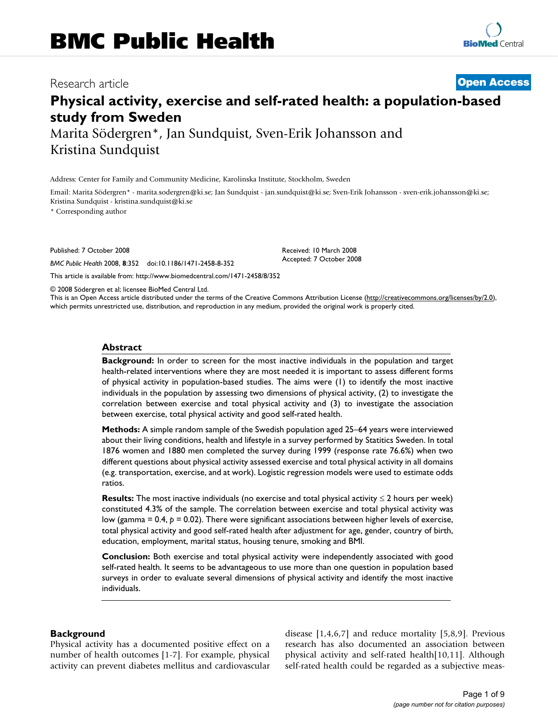# Research article **[Open Access](http://www.biomedcentral.com/info/about/charter/)**

# **Physical activity, exercise and self-rated health: a population-based study from Sweden**

Marita Södergren\*, Jan Sundquist, Sven-Erik Johansson and Kristina Sundquist

Address: Center for Family and Community Medicine, Karolinska Institute, Stockholm, Sweden

Email: Marita Södergren\* - marita.sodergren@ki.se; Jan Sundquist - jan.sundquist@ki.se; Sven-Erik Johansson - sven-erik.johansson@ki.se; Kristina Sundquist - kristina.sundquist@ki.se

\* Corresponding author

Published: 7 October 2008

*BMC Public Health* 2008, **8**:352 doi:10.1186/1471-2458-8-352

[This article is available from: http://www.biomedcentral.com/1471-2458/8/352](http://www.biomedcentral.com/1471-2458/8/352)

© 2008 Södergren et al; licensee BioMed Central Ltd.

This is an Open Access article distributed under the terms of the Creative Commons Attribution License [\(http://creativecommons.org/licenses/by/2.0\)](http://creativecommons.org/licenses/by/2.0), which permits unrestricted use, distribution, and reproduction in any medium, provided the original work is properly cited.

Received: 10 March 2008 Accepted: 7 October 2008

#### **Abstract**

**Background:** In order to screen for the most inactive individuals in the population and target health-related interventions where they are most needed it is important to assess different forms of physical activity in population-based studies. The aims were (1) to identify the most inactive individuals in the population by assessing two dimensions of physical activity, (2) to investigate the correlation between exercise and total physical activity and (3) to investigate the association between exercise, total physical activity and good self-rated health.

**Methods:** A simple random sample of the Swedish population aged 25–64 years were interviewed about their living conditions, health and lifestyle in a survey performed by Statitics Sweden. In total 1876 women and 1880 men completed the survey during 1999 (response rate 76.6%) when two different questions about physical activity assessed exercise and total physical activity in all domains (e.g. transportation, exercise, and at work). Logistic regression models were used to estimate odds ratios.

**Results:** The most inactive individuals (no exercise and total physical activity ≤ 2 hours per week) constituted 4.3% of the sample. The correlation between exercise and total physical activity was low (gamma = 0.4, *p =* 0.02). There were significant associations between higher levels of exercise, total physical activity and good self-rated health after adjustment for age, gender, country of birth, education, employment, marital status, housing tenure, smoking and BMI.

**Conclusion:** Both exercise and total physical activity were independently associated with good self-rated health. It seems to be advantageous to use more than one question in population based surveys in order to evaluate several dimensions of physical activity and identify the most inactive individuals.

#### **Background**

Physical activity has a documented positive effect on a number of health outcomes [1-7]. For example, physical activity can prevent diabetes mellitus and cardiovascular disease [1,4,6,7] and reduce mortality [5,8,9]. Previous research has also documented an association between physical activity and self-rated health[10,11]. Although self-rated health could be regarded as a subjective meas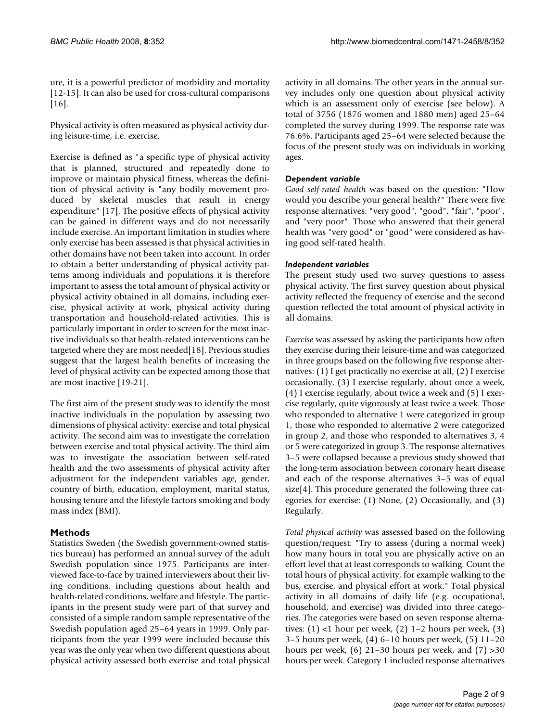ure, it is a powerful predictor of morbidity and mortality [12-15]. It can also be used for cross-cultural comparisons [16].

Physical activity is often measured as physical activity during leisure-time, i.e. exercise.

Exercise is defined as "a specific type of physical activity that is planned, structured and repeatedly done to improve or maintain physical fitness, whereas the definition of physical activity is "any bodily movement produced by skeletal muscles that result in energy expenditure" [17]. The positive effects of physical activity can be gained in different ways and do not necessarily include exercise. An important limitation in studies where only exercise has been assessed is that physical activities in other domains have not been taken into account. In order to obtain a better understanding of physical activity patterns among individuals and populations it is therefore important to assess the total amount of physical activity or physical activity obtained in all domains, including exercise, physical activity at work, physical activity during transportation and household-related activities. This is particularly important in order to screen for the most inactive individuals so that health-related interventions can be targeted where they are most needed[18]. Previous studies suggest that the largest health benefits of increasing the level of physical activity can be expected among those that are most inactive [19-21].

The first aim of the present study was to identify the most inactive individuals in the population by assessing two dimensions of physical activity: exercise and total physical activity. The second aim was to investigate the correlation between exercise and total physical activity. The third aim was to investigate the association between self-rated health and the two assessments of physical activity after adjustment for the independent variables age, gender, country of birth, education, employment, marital status, housing tenure and the lifestyle factors smoking and body mass index (BMI).

# **Methods**

Statistics Sweden (the Swedish government-owned statistics bureau) has performed an annual survey of the adult Swedish population since 1975. Participants are interviewed face-to-face by trained interviewers about their living conditions, including questions about health and health-related conditions, welfare and lifestyle. The participants in the present study were part of that survey and consisted of a simple random sample representative of the Swedish population aged 25–64 years in 1999. Only participants from the year 1999 were included because this year was the only year when two different questions about physical activity assessed both exercise and total physical

activity in all domains. The other years in the annual survey includes only one question about physical activity which is an assessment only of exercise (see below). A total of 3756 (1876 women and 1880 men) aged 25–64 completed the survey during 1999. The response rate was 76.6%. Participants aged 25–64 were selected because the focus of the present study was on individuals in working ages.

# *Dependent variable*

*Good self-rated health* was based on the question: "How would you describe your general health?" There were five response alternatives: "very good", "good", "fair", "poor", and "very poor". Those who answered that their general health was "very good" or "good" were considered as having good self-rated health.

# *Independent variables*

The present study used two survey questions to assess physical activity. The first survey question about physical activity reflected the frequency of exercise and the second question reflected the total amount of physical activity in all domains.

*Exercise* was assessed by asking the participants how often they exercise during their leisure-time and was categorized in three groups based on the following five response alternatives: (1) I get practically no exercise at all, (2) I exercise occasionally, (3) I exercise regularly, about once a week, (4) I exercise regularly, about twice a week and (5) I exercise regularly, quite vigorously at least twice a week. Those who responded to alternative 1 were categorized in group 1, those who responded to alternative 2 were categorized in group 2, and those who responded to alternatives 3, 4 or 5 were categorized in group 3. The response alternatives 3–5 were collapsed because a previous study showed that the long-term association between coronary heart disease and each of the response alternatives 3–5 was of equal size[4]. This procedure generated the following three categories for exercise: (1) None, (2) Occasionally, and (3) Regularly.

*Total physical activity* was assessed based on the following question/request: "Try to assess (during a normal week) how many hours in total you are physically active on an effort level that at least corresponds to walking. Count the total hours of physical activity, for example walking to the bus, exercise, and physical effort at work." Total physical activity in all domains of daily life (e.g. occupational, household, and exercise) was divided into three categories. The categories were based on seven response alternatives:  $(1)$  <1 hour per week,  $(2)$  1–2 hours per week,  $(3)$ 3–5 hours per week, (4) 6–10 hours per week, (5) 11–20 hours per week,  $(6)$  21–30 hours per week, and  $(7)$  >30 hours per week. Category 1 included response alternatives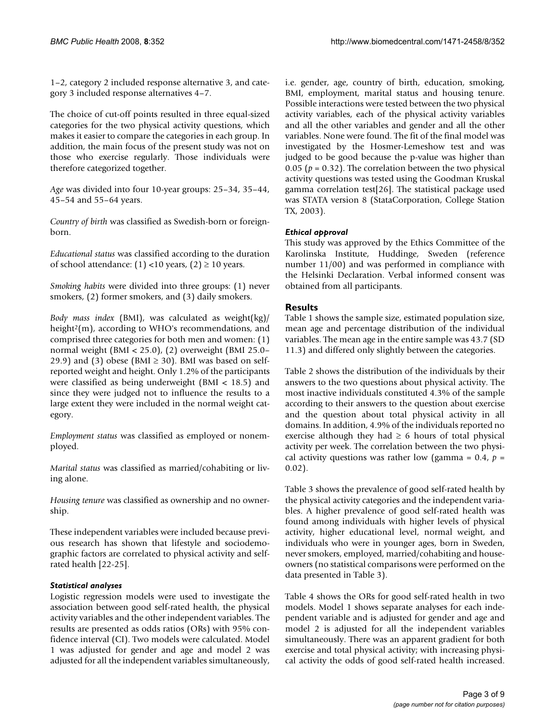1–2, category 2 included response alternative 3, and category 3 included response alternatives 4–7.

The choice of cut-off points resulted in three equal-sized categories for the two physical activity questions, which makes it easier to compare the categories in each group. In addition, the main focus of the present study was not on those who exercise regularly. Those individuals were therefore categorized together.

*Age* was divided into four 10-year groups: 25–34, 35–44, 45–54 and 55–64 years.

*Country of birth* was classified as Swedish-born or foreignborn.

*Educational status* was classified according to the duration of school attendance:  $(1)$  <10 years,  $(2) \ge 10$  years.

*Smoking habits* were divided into three groups: (1) never smokers, (2) former smokers, and (3) daily smokers.

*Body mass index* (BMI), was calculated as weight(kg)/ height<sup>2</sup>(m), according to WHO's recommendations, and comprised three categories for both men and women: (1) normal weight (BMI < 25.0), (2) overweight (BMI 25.0– 29.9) and (3) obese (BMI  $\geq$  30). BMI was based on selfreported weight and height. Only 1.2% of the participants were classified as being underweight (BMI < 18.5) and since they were judged not to influence the results to a large extent they were included in the normal weight category.

*Employment status* was classified as employed or nonemployed.

*Marital status* was classified as married/cohabiting or living alone.

*Housing tenure* was classified as ownership and no ownership.

These independent variables were included because previous research has shown that lifestyle and sociodemographic factors are correlated to physical activity and selfrated health [22-25].

# *Statistical analyses*

Logistic regression models were used to investigate the association between good self-rated health, the physical activity variables and the other independent variables. The results are presented as odds ratios (ORs) with 95% confidence interval (CI). Two models were calculated. Model 1 was adjusted for gender and age and model 2 was adjusted for all the independent variables simultaneously,

i.e. gender, age, country of birth, education, smoking, BMI, employment, marital status and housing tenure. Possible interactions were tested between the two physical activity variables, each of the physical activity variables and all the other variables and gender and all the other variables. None were found. The fit of the final model was investigated by the Hosmer-Lemeshow test and was judged to be good because the p-value was higher than 0.05 ( $p = 0.32$ ). The correlation between the two physical activity questions was tested using the Goodman Kruskal gamma correlation test[26]. The statistical package used was STATA version 8 (StataCorporation, College Station TX, 2003).

## *Ethical approval*

This study was approved by the Ethics Committee of the Karolinska Institute, Huddinge, Sweden (reference number 11/00) and was performed in compliance with the Helsinki Declaration. Verbal informed consent was obtained from all participants.

# **Results**

Table 1 shows the sample size, estimated population size, mean age and percentage distribution of the individual variables. The mean age in the entire sample was 43.7 (SD 11.3) and differed only slightly between the categories.

Table 2 shows the distribution of the individuals by their answers to the two questions about physical activity. The most inactive individuals constituted 4.3% of the sample according to their answers to the question about exercise and the question about total physical activity in all domains. In addition, 4.9% of the individuals reported no exercise although they had  $\geq 6$  hours of total physical activity per week. The correlation between the two physical activity questions was rather low (gamma = 0.4, *p =* 0.02).

Table 3 shows the prevalence of good self-rated health by the physical activity categories and the independent variables. A higher prevalence of good self-rated health was found among individuals with higher levels of physical activity, higher educational level, normal weight, and individuals who were in younger ages, born in Sweden, never smokers, employed, married/cohabiting and houseowners (no statistical comparisons were performed on the data presented in Table 3).

Table 4 shows the ORs for good self-rated health in two models. Model 1 shows separate analyses for each independent variable and is adjusted for gender and age and model 2 is adjusted for all the independent variables simultaneously. There was an apparent gradient for both exercise and total physical activity; with increasing physical activity the odds of good self-rated health increased.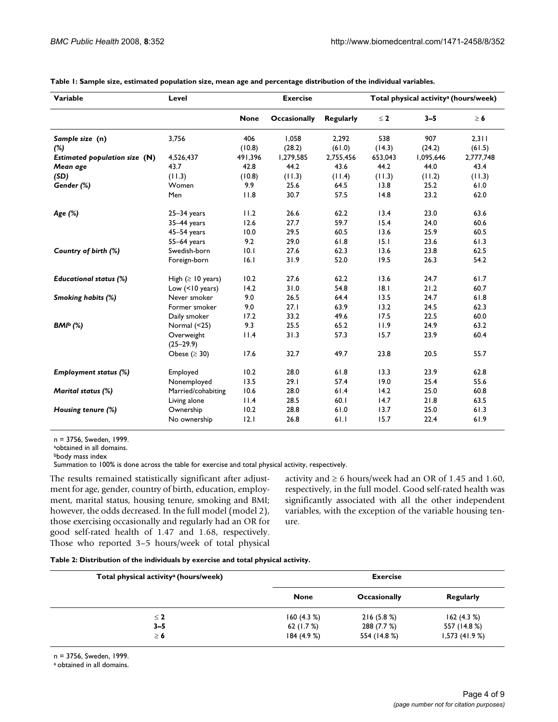| Variable                      | Level                   | <b>Exercise</b> |                     |                  | Total physical activity <sup>a</sup> (hours/week) |           |           |  |
|-------------------------------|-------------------------|-----------------|---------------------|------------------|---------------------------------------------------|-----------|-----------|--|
|                               |                         | <b>None</b>     | <b>Occasionally</b> | <b>Regularly</b> | $\leq 2$                                          | $3 - 5$   | $\geq 6$  |  |
| Sample size (n)               | 3,756                   | 406             | 1,058               | 2,292            | 538                                               | 907       | 2,311     |  |
| (%)                           |                         | (10.8)          | (28.2)              | (61.0)           | (14.3)                                            | (24.2)    | (61.5)    |  |
| Estimated population size (N) | 4,526,437               | 491,396         | 1,279,585           | 2,755,456        | 653,043                                           | 1,095,646 | 2,777,748 |  |
| Mean age                      | 43.7                    | 42.8            | 44.2                | 43.6             | 44.2                                              | 44.0      | 43.4      |  |
| (SD)                          | (11.3)                  | (10.8)          | (11.3)              | (11.4)           | (11.3)                                            | (11.2)    | (11.3)    |  |
| Gender (%)                    | Women                   | 9.9             | 25.6                | 64.5             | 13.8                                              | 25.2      | 61.0      |  |
|                               | Men                     | 11.8            | 30.7                | 57.5             | 14.8                                              | 23.2      | 62.0      |  |
| Age $(\%)$                    | $25 - 34$ years         | 11.2            | 26.6                | 62.2             | 13.4                                              | 23.0      | 63.6      |  |
|                               | $35-44$ years           | 12.6            | 27.7                | 59.7             | 15.4                                              | 24.0      | 60.6      |  |
|                               | $45-54$ years           | 10.0            | 29.5                | 60.5             | 13.6                                              | 25.9      | 60.5      |  |
|                               | 55-64 years             | 9.2             | 29.0                | 61.8             | 15.1                                              | 23.6      | 61.3      |  |
| Country of birth (%)          | Swedish-born            | 10.1            | 27.6                | 62.3             | 13.6                                              | 23.8      | 62.5      |  |
|                               | Foreign-born            | 16.1            | 31.9                | 52.0             | 19.5                                              | 26.3      | 54.2      |  |
| <b>Educational status (%)</b> | High ( $\geq 10$ years) | 10.2            | 27.6                | 62.2             | 13.6                                              | 24.7      | 61.7      |  |
|                               | Low $($ < $10$ years)   | 14.2            | 31.0                | 54.8             | 8.1                                               | 21.2      | 60.7      |  |
| Smoking habits (%)            | Never smoker            | 9.0             | 26.5                | 64.4             | 13.5                                              | 24.7      | 61.8      |  |
|                               | Former smoker           | 9.0             | 27.1                | 63.9             | 13.2                                              | 24.5      | 62.3      |  |
|                               | Daily smoker            | 17.2            | 33.2                | 49.6             | 17.5                                              | 22.5      | 60.0      |  |
| BMI <sup>b</sup> (%)          | Normal (<25)            | 9.3             | 25.5                | 65.2             | 11.9                                              | 24.9      | 63.2      |  |
|                               | Overweight              | 11.4            | 31.3                | 57.3             | 15.7                                              | 23.9      | 60.4      |  |
|                               | $(25 - 29.9)$           |                 |                     |                  |                                                   |           |           |  |
|                               | Obese $( \geq 30)$      | 17.6            | 32.7                | 49.7             | 23.8                                              | 20.5      | 55.7      |  |
| Employment status (%)         | Employed                | 10.2            | 28.0                | 61.8             | 13.3                                              | 23.9      | 62.8      |  |
|                               | Nonemployed             | 13.5            | 29.1                | 57.4             | 19.0                                              | 25.4      | 55.6      |  |
| Marital status (%)            | Married/cohabiting      | 10.6            | 28.0                | 61.4             | 14.2                                              | 25.0      | 60.8      |  |
|                               | Living alone            | 11.4            | 28.5                | 60.1             | 14.7                                              | 21.8      | 63.5      |  |
| Housing tenure (%)            | Ownership               | 10.2            | 28.8                | 61.0             | 13.7                                              | 25.0      | 61.3      |  |
|                               | No ownership            | 12.1            | 26.8                | 61.1             | 15.7                                              | 22.4      | 61.9      |  |

**Table 1: Sample size, estimated population size, mean age and percentage distribution of the individual variables.** 

n = 3756, Sweden, 1999.

bbody mass index

Summation to 100% is done across the table for exercise and total physical activity, respectively.

The results remained statistically significant after adjustment for age, gender, country of birth, education, employment, marital status, housing tenure, smoking and BMI; however, the odds decreased. In the full model (model 2), those exercising occasionally and regularly had an OR for good self-rated health of 1.47 and 1.68, respectively. Those who reported 3–5 hours/week of total physical

activity and  $\geq 6$  hours/week had an OR of 1.45 and 1.60, respectively, in the full model. Good self-rated health was significantly associated with all the other independent variables, with the exception of the variable housing tenure.

|  | Table 2: Distribution of the individuals by exercise and total physical activity. |  |  |
|--|-----------------------------------------------------------------------------------|--|--|
|  |                                                                                   |  |  |

| Total physical activity <sup>a</sup> (hours/week) | <b>Exercise</b> |                     |                  |  |
|---------------------------------------------------|-----------------|---------------------|------------------|--|
|                                                   | <b>None</b>     | <b>Occasionally</b> | <b>Regularly</b> |  |
| $\leq 2$                                          | 160(4.3%)       | 216(5.8%)           | 162(4.3%)        |  |
| $3 - 5$                                           | 62 $(1.7%)$     | 288 (7.7 %)         | 557 (14.8 %)     |  |
| $\geq 6$                                          | 184(4.9%)       | 554 (14.8 %)        | 1,573(41.9%)     |  |

n = 3756, Sweden, 1999.

a obtained in all domains.

aobtained in all domains.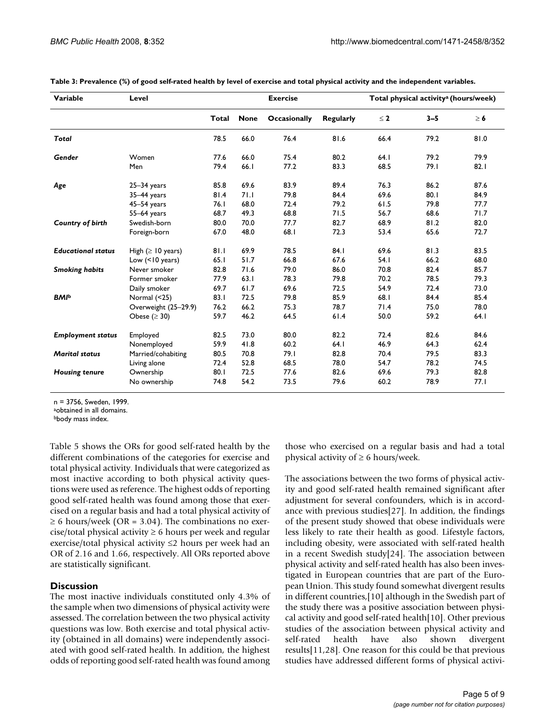| Variable                  | Level                   |              |             | <b>Exercise</b>     |                  |          | Total physical activity <sup>a</sup> (hours/week) |          |
|---------------------------|-------------------------|--------------|-------------|---------------------|------------------|----------|---------------------------------------------------|----------|
|                           |                         | <b>Total</b> | <b>None</b> | <b>Occasionally</b> | <b>Regularly</b> | $\leq 2$ | $3 - 5$                                           | $\geq 6$ |
| Total                     |                         | 78.5         | 66.0        | 76.4                | 81.6             | 66.4     | 79.2                                              | 81.0     |
| Gender                    | Women                   | 77.6         | 66.0        | 75.4                | 80.2             | 64.1     | 79.2                                              | 79.9     |
|                           | Men                     | 79.4         | 66.1        | 77.2                | 83.3             | 68.5     | 79.1                                              | 82.1     |
| Age                       | $25 - 34$ years         | 85.8         | 69.6        | 83.9                | 89.4             | 76.3     | 86.2                                              | 87.6     |
|                           | $35-44$ years           | 81.4         | 71.1        | 79.8                | 84.4             | 69.6     | 80.1                                              | 84.9     |
|                           | $45 - 54$ years         | 76.1         | 68.0        | 72.4                | 79.2             | 61.5     | 79.8                                              | 77.7     |
|                           | 55-64 years             | 68.7         | 49.3        | 68.8                | 71.5             | 56.7     | 68.6                                              | 71.7     |
| Country of birth          | Swedish-born            | 80.0         | 70.0        | 77.7                | 82.7             | 68.9     | 81.2                                              | 82.0     |
|                           | Foreign-born            | 67.0         | 48.0        | 68.I                | 72.3             | 53.4     | 65.6                                              | 72.7     |
| <b>Educational status</b> | High ( $\geq$ 10 years) | 81.1         | 69.9        | 78.5                | 84.1             | 69.6     | 81.3                                              | 83.5     |
|                           | Low (<10 years)         | 65.1         | 51.7        | 66.8                | 67.6             | 54.1     | 66.2                                              | 68.0     |
| <b>Smoking habits</b>     | Never smoker            | 82.8         | 71.6        | 79.0                | 86.0             | 70.8     | 82.4                                              | 85.7     |
|                           | Former smoker           | 77.9         | 63.1        | 78.3                | 79.8             | 70.2     | 78.5                                              | 79.3     |
|                           | Daily smoker            | 69.7         | 61.7        | 69.6                | 72.5             | 54.9     | 72.4                                              | 73.0     |
| <b>BMI</b> b              | Normal (<25)            | 83.1         | 72.5        | 79.8                | 85.9             | 68.1     | 84.4                                              | 85.4     |
|                           | Overweight (25-29.9)    | 76.2         | 66.2        | 75.3                | 78.7             | 71.4     | 75.0                                              | 78.0     |
|                           | Obese $(≥ 30)$          | 59.7         | 46.2        | 64.5                | 61.4             | 50.0     | 59.2                                              | 64.1     |
| <b>Employment status</b>  | Employed                | 82.5         | 73.0        | 80.0                | 82.2             | 72.4     | 82.6                                              | 84.6     |
|                           | Nonemployed             | 59.9         | 41.8        | 60.2                | 64.1             | 46.9     | 64.3                                              | 62.4     |
| <b>Marital status</b>     | Married/cohabiting      | 80.5         | 70.8        | 79.I                | 82.8             | 70.4     | 79.5                                              | 83.3     |
|                           | Living alone            | 72.4         | 52.8        | 68.5                | 78.0             | 54.7     | 78.2                                              | 74.5     |
| <b>Housing tenure</b>     | Ownership               | 80.1         | 72.5        | 77.6                | 82.6             | 69.6     | 79.3                                              | 82.8     |
|                           | No ownership            | 74.8         | 54.2        | 73.5                | 79.6             | 60.2     | 78.9                                              | 77.1     |

**Table 3: Prevalence (%) of good self-rated health by level of exercise and total physical activity and the independent variables.**

n = 3756, Sweden, 1999.

aobtained in all domains.

bbody mass index.

Table 5 shows the ORs for good self-rated health by the different combinations of the categories for exercise and total physical activity. Individuals that were categorized as most inactive according to both physical activity questions were used as reference. The highest odds of reporting good self-rated health was found among those that exercised on a regular basis and had a total physical activity of  $\geq$  6 hours/week (OR = 3.04). The combinations no exercise/total physical activity  $\geq 6$  hours per week and regular exercise/total physical activity ≤2 hours per week had an OR of 2.16 and 1.66, respectively. All ORs reported above are statistically significant.

#### **Discussion**

The most inactive individuals constituted only 4.3% of the sample when two dimensions of physical activity were assessed. The correlation between the two physical activity questions was low. Both exercise and total physical activity (obtained in all domains) were independently associated with good self-rated health. In addition, the highest odds of reporting good self-rated health was found among those who exercised on a regular basis and had a total physical activity of  $\geq 6$  hours/week.

The associations between the two forms of physical activity and good self-rated health remained significant after adjustment for several confounders, which is in accordance with previous studies[27]. In addition, the findings of the present study showed that obese individuals were less likely to rate their health as good. Lifestyle factors, including obesity, were associated with self-rated health in a recent Swedish study[24]. The association between physical activity and self-rated health has also been investigated in European countries that are part of the European Union. This study found somewhat divergent results in different countries,[10] although in the Swedish part of the study there was a positive association between physical activity and good self-rated health[10]. Other previous studies of the association between physical activity and self-rated health have also shown divergent results[11,28]. One reason for this could be that previous studies have addressed different forms of physical activi-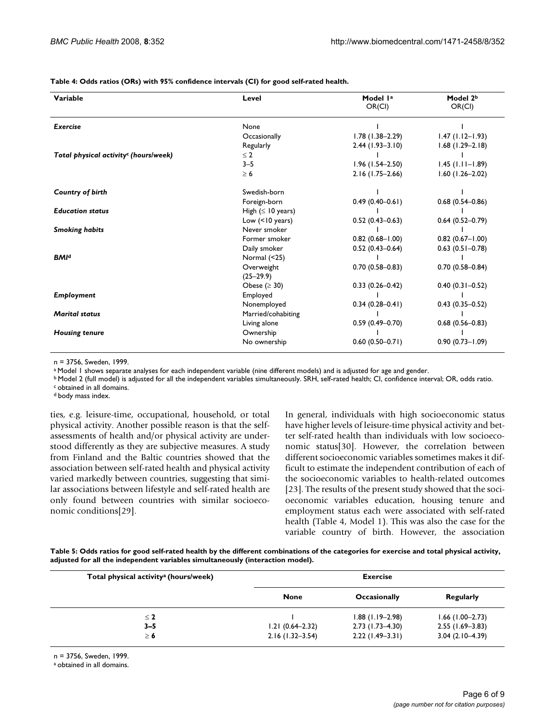| Variable                                          | Level                   | Model la<br>OR(Cl)  | Model 2 <sup>b</sup><br>OR(Cl) |
|---------------------------------------------------|-------------------------|---------------------|--------------------------------|
| <b>Exercise</b>                                   | None                    |                     |                                |
|                                                   | Occasionally            | $1.78(1.38-2.29)$   | $1.47(1.12 - 1.93)$            |
|                                                   | Regularly               | $2.44(1.93-3.10)$   | $1.68(1.29 - 2.18)$            |
| Total physical activity <sup>c</sup> (hours/week) | $\leq$ 2                |                     |                                |
|                                                   | $3 - 5$                 | $1.96(1.54 - 2.50)$ | $1.45$ ( $1.11 - 1.89$ )       |
|                                                   | $\geq 6$                | $2.16(1.75-2.66)$   | $1.60$ (1.26-2.02)             |
| Country of birth                                  | Swedish-born            |                     |                                |
|                                                   | Foreign-born            | $0.49(0.40 - 0.61)$ | $0.68(0.54 - 0.86)$            |
| <b>Education status</b>                           | High $( \leq 10$ years) |                     |                                |
|                                                   | Low $($ <10 years $)$   | $0.52(0.43 - 0.63)$ | $0.64(0.52 - 0.79)$            |
| <b>Smoking habits</b>                             | Never smoker            |                     |                                |
|                                                   | Former smoker           | $0.82(0.68 - 1.00)$ | $0.82$ (0.67-1.00)             |
|                                                   | Daily smoker            | $0.52(0.43 - 0.64)$ | $0.63$ (0.51-0.78)             |
| <b>BMId</b>                                       | Normal $($ 25)          |                     |                                |
|                                                   | Overweight              | $0.70(0.58 - 0.83)$ | $0.70(0.58 - 0.84)$            |
|                                                   | $(25-29.9)$             |                     |                                |
|                                                   | Obese ( $\geq$ 30)      | $0.33(0.26 - 0.42)$ | $0.40(0.31 - 0.52)$            |
| Employment                                        | Employed                |                     |                                |
|                                                   | Nonemployed             | $0.34(0.28 - 0.41)$ | $0.43(0.35 - 0.52)$            |
| <b>Marital status</b>                             | Married/cohabiting      |                     |                                |
|                                                   | Living alone            | $0.59(0.49 - 0.70)$ | $0.68(0.56 - 0.83)$            |
| <b>Housing tenure</b>                             | Ownership               |                     |                                |
|                                                   | No ownership            | $0.60(0.50 - 0.71)$ | $0.90(0.73 - 1.09)$            |

**Table 4: Odds ratios (ORs) with 95% confidence intervals (CI) for good self-rated health.** 

n = 3756, Sweden, 1999.

a Model 1 shows separate analyses for each independent variable (nine different models) and is adjusted for age and gender.

b Model 2 (full model) is adjusted for all the independent variables simultaneously. SRH, self-rated health; CI, confidence interval; OR, odds ratio. c obtained in all domains.

d body mass index.

ties, e.g. leisure-time, occupational, household, or total physical activity. Another possible reason is that the selfassessments of health and/or physical activity are understood differently as they are subjective measures. A study from Finland and the Baltic countries showed that the association between self-rated health and physical activity varied markedly between countries, suggesting that similar associations between lifestyle and self-rated health are only found between countries with similar socioeconomic conditions[29].

In general, individuals with high socioeconomic status have higher levels of leisure-time physical activity and better self-rated health than individuals with low socioeconomic status[30]. However, the correlation between different socioeconomic variables sometimes makes it difficult to estimate the independent contribution of each of the socioeconomic variables to health-related outcomes [23]. The results of the present study showed that the soci-oeconomic variables education, housing tenure and employment status each were associated with self-rated health (Table 4, Model 1). This was also the case for the variable country of birth. However, the association

**Table 5: Odds ratios for good self-rated health by the different combinations of the categories for exercise and total physical activity, adjusted for all the independent variables simultaneously (interaction model).** 

| Total physical activity <sup>a</sup> (hours/week) | <b>Exercise</b>     |                     |                    |  |  |
|---------------------------------------------------|---------------------|---------------------|--------------------|--|--|
|                                                   | <b>None</b>         | <b>Occasionally</b> | Regularly          |  |  |
| $\leq 2$                                          |                     | $1.88(1.19-2.98)$   | $1.66$ (1.00-2.73) |  |  |
| $3 - 5$                                           | $1.21(0.64 - 2.32)$ | 2.73 (1.73–4.30)    | 2.55 (1.69–3.83)   |  |  |
| $\geq 6$                                          | $2.16(1.32 - 3.54)$ | $2.22(1.49-3.31)$   | $3.04(2.10-4.39)$  |  |  |

n = 3756, Sweden, 1999.

a obtained in all domains.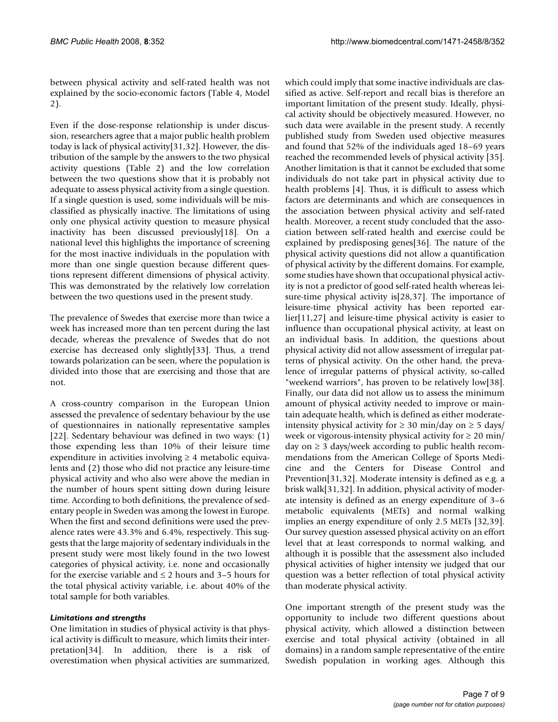between physical activity and self-rated health was not explained by the socio-economic factors (Table 4, Model 2).

Even if the dose-response relationship is under discussion, researchers agree that a major public health problem today is lack of physical activity[31,32]. However, the distribution of the sample by the answers to the two physical activity questions (Table 2) and the low correlation between the two questions show that it is probably not adequate to assess physical activity from a single question. If a single question is used, some individuals will be misclassified as physically inactive. The limitations of using only one physical activity question to measure physical inactivity has been discussed previously[18]. On a national level this highlights the importance of screening for the most inactive individuals in the population with more than one single question because different questions represent different dimensions of physical activity. This was demonstrated by the relatively low correlation between the two questions used in the present study.

The prevalence of Swedes that exercise more than twice a week has increased more than ten percent during the last decade, whereas the prevalence of Swedes that do not exercise has decreased only slightly[33]. Thus, a trend towards polarization can be seen, where the population is divided into those that are exercising and those that are not.

A cross-country comparison in the European Union assessed the prevalence of sedentary behaviour by the use of questionnaires in nationally representative samples [22]. Sedentary behaviour was defined in two ways: (1) those expending less than 10% of their leisure time expenditure in activities involving  $\geq 4$  metabolic equivalents and (2) those who did not practice any leisure-time physical activity and who also were above the median in the number of hours spent sitting down during leisure time. According to both definitions, the prevalence of sedentary people in Sweden was among the lowest in Europe. When the first and second definitions were used the prevalence rates were 43.3% and 6.4%, respectively. This suggests that the large majority of sedentary individuals in the present study were most likely found in the two lowest categories of physical activity, i.e. none and occasionally for the exercise variable and  $\leq 2$  hours and 3–5 hours for the total physical activity variable, i.e. about 40% of the total sample for both variables.

# *Limitations and strengths*

One limitation in studies of physical activity is that physical activity is difficult to measure, which limits their interpretation[34]. In addition, there is a risk of overestimation when physical activities are summarized,

which could imply that some inactive individuals are classified as active. Self-report and recall bias is therefore an important limitation of the present study. Ideally, physical activity should be objectively measured. However, no such data were available in the present study. A recently published study from Sweden used objective measures and found that 52% of the individuals aged 18–69 years reached the recommended levels of physical activity [35]. Another limitation is that it cannot be excluded that some individuals do not take part in physical activity due to health problems [4]. Thus, it is difficult to assess which factors are determinants and which are consequences in the association between physical activity and self-rated health. Moreover, a recent study concluded that the association between self-rated health and exercise could be explained by predisposing genes[36]. The nature of the physical activity questions did not allow a quantification of physical activity by the different domains. For example, some studies have shown that occupational physical activity is not a predictor of good self-rated health whereas leisure-time physical activity is[28,37]. The importance of leisure-time physical activity has been reported earlier[11,27] and leisure-time physical activity is easier to influence than occupational physical activity, at least on an individual basis. In addition, the questions about physical activity did not allow assessment of irregular patterns of physical activity. On the other hand, the prevalence of irregular patterns of physical activity, so-called "weekend warriors", has proven to be relatively low[38]. Finally, our data did not allow us to assess the minimum amount of physical activity needed to improve or maintain adequate health, which is defined as either moderateintensity physical activity for  $\geq$  30 min/day on  $\geq$  5 days/ week or vigorous-intensity physical activity for  $\geq 20$  min/ day on  $\geq$  3 days/week according to public health recommendations from the American College of Sports Medicine and the Centers for Disease Control and Prevention[31,32]. Moderate intensity is defined as e.g. a brisk walk[31,32]. In addition, physical activity of moderate intensity is defined as an energy expenditure of 3–6 metabolic equivalents (METs) and normal walking implies an energy expenditure of only 2.5 METs [32,39]. Our survey question assessed physical activity on an effort level that at least corresponds to normal walking, and although it is possible that the assessment also included physical activities of higher intensity we judged that our question was a better reflection of total physical activity than moderate physical activity.

One important strength of the present study was the opportunity to include two different questions about physical activity, which allowed a distinction between exercise and total physical activity (obtained in all domains) in a random sample representative of the entire Swedish population in working ages. Although this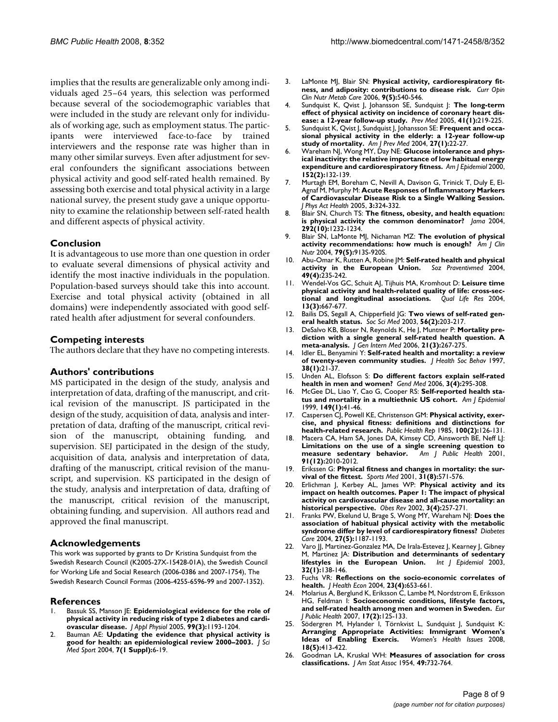implies that the results are generalizable only among individuals aged 25–64 years, this selection was performed because several of the sociodemographic variables that were included in the study are relevant only for individuals of working age, such as employment status. The participants were interviewed face-to-face by trained interviewers and the response rate was higher than in many other similar surveys. Even after adjustment for several confounders the significant associations between physical activity and good self-rated health remained. By assessing both exercise and total physical activity in a large national survey, the present study gave a unique opportunity to examine the relationship between self-rated health and different aspects of physical activity.

# **Conclusion**

It is advantageous to use more than one question in order to evaluate several dimensions of physical activity and identify the most inactive individuals in the population. Population-based surveys should take this into account. Exercise and total physical activity (obtained in all domains) were independently associated with good selfrated health after adjustment for several confounders.

## **Competing interests**

The authors declare that they have no competing interests.

#### **Authors' contributions**

MS participated in the design of the study, analysis and interpretation of data, drafting of the manuscript, and critical revision of the manuscript. JS participated in the design of the study, acquisition of data, analysis and interpretation of data, drafting of the manuscript, critical revision of the manuscript, obtaining funding, and supervision. SEJ participated in the design of the study, acquisition of data, analysis and interpretation of data, drafting of the manuscript, critical revision of the manuscript, and supervision. KS participated in the design of the study, analysis and interpretation of data, drafting of the manuscript, critical revision of the manuscript, obtaining funding, and supervision. All authors read and approved the final manuscript.

#### **Acknowledgements**

This work was supported by grants to Dr Kristina Sundquist from the Swedish Research Council (K2005-27X-15428-01A), the Swedish Council for Working Life and Social Research (2006-0386 and 2007-1754), The Swedish Research Council Formas (2006-4255-6596-99 and 2007-1352).

#### **References**

- Bassuk SS, Manson JE: [Epidemiological evidence for the role of](http://www.ncbi.nlm.nih.gov/entrez/query.fcgi?cmd=Retrieve&db=PubMed&dopt=Abstract&list_uids=16103522) **[physical activity in reducing risk of type 2 diabetes and cardi](http://www.ncbi.nlm.nih.gov/entrez/query.fcgi?cmd=Retrieve&db=PubMed&dopt=Abstract&list_uids=16103522)[ovascular disease.](http://www.ncbi.nlm.nih.gov/entrez/query.fcgi?cmd=Retrieve&db=PubMed&dopt=Abstract&list_uids=16103522)** *J Appl Physiol* 2005, **99(3):**1193-1204.
- 2. Bauman AE: **[Updating the evidence that physical activity is](http://www.ncbi.nlm.nih.gov/entrez/query.fcgi?cmd=Retrieve&db=PubMed&dopt=Abstract&list_uids=15214597) [good for health: an epidemiological review 2000–2003.](http://www.ncbi.nlm.nih.gov/entrez/query.fcgi?cmd=Retrieve&db=PubMed&dopt=Abstract&list_uids=15214597)** *J Sci Med Sport* 2004, **7(1 Suppl):**6-19.
- 3. LaMonte MJ, Blair SN: **[Physical activity, cardiorespiratory fit](http://www.ncbi.nlm.nih.gov/entrez/query.fcgi?cmd=Retrieve&db=PubMed&dopt=Abstract&list_uids=16912548)[ness, and adiposity: contributions to disease risk.](http://www.ncbi.nlm.nih.gov/entrez/query.fcgi?cmd=Retrieve&db=PubMed&dopt=Abstract&list_uids=16912548)** *Curr Opin Clin Nutr Metab Care* 2006, **9(5):**540-546.
- 4. Sundquist K, Qvist J, Johansson SE, Sundquist J: **[The long-term](http://www.ncbi.nlm.nih.gov/entrez/query.fcgi?cmd=Retrieve&db=PubMed&dopt=Abstract&list_uids=15917014) [effect of physical activity on incidence of coronary heart dis](http://www.ncbi.nlm.nih.gov/entrez/query.fcgi?cmd=Retrieve&db=PubMed&dopt=Abstract&list_uids=15917014)[ease: a 12-year follow-up study.](http://www.ncbi.nlm.nih.gov/entrez/query.fcgi?cmd=Retrieve&db=PubMed&dopt=Abstract&list_uids=15917014)** *Prev Med* 2005, **41(1):**219-225.
- 5. Sundquist K, Qvist J, Sundquist J, Johansson SE: **[Frequent and occa](http://www.ncbi.nlm.nih.gov/entrez/query.fcgi?cmd=Retrieve&db=PubMed&dopt=Abstract&list_uids=15212771)[sional physical activity in the elderly: a 12-year follow-up](http://www.ncbi.nlm.nih.gov/entrez/query.fcgi?cmd=Retrieve&db=PubMed&dopt=Abstract&list_uids=15212771) [study of mortality.](http://www.ncbi.nlm.nih.gov/entrez/query.fcgi?cmd=Retrieve&db=PubMed&dopt=Abstract&list_uids=15212771)** *Am J Prev Med* 2004, **27(1):**22-27.
- 6. Wareham NJ, Wong MY, Day NE: **[Glucose intolerance and phys](http://www.ncbi.nlm.nih.gov/entrez/query.fcgi?cmd=Retrieve&db=PubMed&dopt=Abstract&list_uids=10909950)[ical inactivity: the relative importance of low habitual energy](http://www.ncbi.nlm.nih.gov/entrez/query.fcgi?cmd=Retrieve&db=PubMed&dopt=Abstract&list_uids=10909950) [expenditure and cardiorespiratory fitness.](http://www.ncbi.nlm.nih.gov/entrez/query.fcgi?cmd=Retrieve&db=PubMed&dopt=Abstract&list_uids=10909950)** *Am J Epidemiol* 2000, **152(2):**132-139.
- 7. Murtagh EM, Boreham C, Nevill A, Davison G, Trinick T, Duly E, El-Agnaf M, Murphy M: **Acute Responses of Inflammatory Markers of Cardiovascular Disease Risk to a Single Walking Session.** *J Phys Act Health* 2005, **3:**324-332.
- 8. Blair SN, Church TS: **[The fitness, obesity, and health equation:](http://www.ncbi.nlm.nih.gov/entrez/query.fcgi?cmd=Retrieve&db=PubMed&dopt=Abstract&list_uids=15353537) [is physical activity the common denominator?](http://www.ncbi.nlm.nih.gov/entrez/query.fcgi?cmd=Retrieve&db=PubMed&dopt=Abstract&list_uids=15353537)** *Jama* 2004, **292(10):**1232-1234.
- 9. Blair SN, LaMonte MJ, Nichaman MZ: **[The evolution of physical](http://www.ncbi.nlm.nih.gov/entrez/query.fcgi?cmd=Retrieve&db=PubMed&dopt=Abstract&list_uids=15113739) [activity recommendations: how much is enough?](http://www.ncbi.nlm.nih.gov/entrez/query.fcgi?cmd=Retrieve&db=PubMed&dopt=Abstract&list_uids=15113739)** *Am J Clin Nutr* 2004, **79(5):**913S-920S.
- 10. Abu-Omar K, Rutten A, Robine JM: **[Self-rated health and physical](http://www.ncbi.nlm.nih.gov/entrez/query.fcgi?cmd=Retrieve&db=PubMed&dopt=Abstract&list_uids=15357524)** [activity in the European Union.](http://www.ncbi.nlm.nih.gov/entrez/query.fcgi?cmd=Retrieve&db=PubMed&dopt=Abstract&list_uids=15357524) **49(4):**235-242.
- 11. Wendel-Vos GC, Schuit AJ, Tijhuis MA, Kromhout D: **[Leisure time](http://www.ncbi.nlm.nih.gov/entrez/query.fcgi?cmd=Retrieve&db=PubMed&dopt=Abstract&list_uids=15130029) [physical activity and health-related quality of life: cross-sec](http://www.ncbi.nlm.nih.gov/entrez/query.fcgi?cmd=Retrieve&db=PubMed&dopt=Abstract&list_uids=15130029)[tional and longitudinal associations.](http://www.ncbi.nlm.nih.gov/entrez/query.fcgi?cmd=Retrieve&db=PubMed&dopt=Abstract&list_uids=15130029)** *Qual Life Res* 2004, **13(3):**667-677.
- 12. Bailis DS, Segall A, Chipperfield JG: **[Two views of self-rated gen](http://www.ncbi.nlm.nih.gov/entrez/query.fcgi?cmd=Retrieve&db=PubMed&dopt=Abstract&list_uids=12473308)[eral health status.](http://www.ncbi.nlm.nih.gov/entrez/query.fcgi?cmd=Retrieve&db=PubMed&dopt=Abstract&list_uids=12473308)** *Soc Sci Med* 2003, **56(2):**203-217.
- 13. DeSalvo KB, Bloser N, Reynolds K, He J, Muntner P: **[Mortality pre](http://www.ncbi.nlm.nih.gov/entrez/query.fcgi?cmd=Retrieve&db=PubMed&dopt=Abstract&list_uids=16336622)[diction with a single general self-rated health question. A](http://www.ncbi.nlm.nih.gov/entrez/query.fcgi?cmd=Retrieve&db=PubMed&dopt=Abstract&list_uids=16336622) [meta-analysis.](http://www.ncbi.nlm.nih.gov/entrez/query.fcgi?cmd=Retrieve&db=PubMed&dopt=Abstract&list_uids=16336622)** *J Gen Intern Med* 2006, **21(3):**267-275.
- Idler EL, Benyamini Y: [Self-rated health and mortality: a review](http://www.ncbi.nlm.nih.gov/entrez/query.fcgi?cmd=Retrieve&db=PubMed&dopt=Abstract&list_uids=9097506) **[of twenty-seven community studies.](http://www.ncbi.nlm.nih.gov/entrez/query.fcgi?cmd=Retrieve&db=PubMed&dopt=Abstract&list_uids=9097506)** *J Health Soc Behav* 1997, **38(1):**21-37.
- 15. Unden AL, Elofsson S: **[Do different factors explain self-rated](http://www.ncbi.nlm.nih.gov/entrez/query.fcgi?cmd=Retrieve&db=PubMed&dopt=Abstract&list_uids=17582371) [health in men and women?](http://www.ncbi.nlm.nih.gov/entrez/query.fcgi?cmd=Retrieve&db=PubMed&dopt=Abstract&list_uids=17582371)** *Gend Med* 2006, **3(4):**295-308.
- 16. McGee DL, Liao Y, Cao G, Cooper RS: **[Self-reported health sta](http://www.ncbi.nlm.nih.gov/entrez/query.fcgi?cmd=Retrieve&db=PubMed&dopt=Abstract&list_uids=9883792)[tus and mortality in a multiethnic US cohort.](http://www.ncbi.nlm.nih.gov/entrez/query.fcgi?cmd=Retrieve&db=PubMed&dopt=Abstract&list_uids=9883792)** *Am J Epidemiol* 1999, **149(1):**41-46.
- 17. Caspersen CJ, Powell KE, Christenson GM: [Physical activity, exer](http://www.ncbi.nlm.nih.gov/entrez/query.fcgi?cmd=Retrieve&db=PubMed&dopt=Abstract&list_uids=3920711)**[cise, and physical fitness: definitions and distinctions for](http://www.ncbi.nlm.nih.gov/entrez/query.fcgi?cmd=Retrieve&db=PubMed&dopt=Abstract&list_uids=3920711) [health-related research.](http://www.ncbi.nlm.nih.gov/entrez/query.fcgi?cmd=Retrieve&db=PubMed&dopt=Abstract&list_uids=3920711)** *Public Health Rep* 1985, **100(2):**126-131.
- 18. Macera CA, Ham SA, Jones DA, Kimsey CD, Ainsworth BE, Neff LJ: **[Limitations on the use of a single screening question to](http://www.ncbi.nlm.nih.gov/entrez/query.fcgi?cmd=Retrieve&db=PubMed&dopt=Abstract&list_uids=11726385) [measure sedentary behavior.](http://www.ncbi.nlm.nih.gov/entrez/query.fcgi?cmd=Retrieve&db=PubMed&dopt=Abstract&list_uids=11726385)** *Am J Public Health* 2001, **91(12):**2010-2012.
- 19. Erikssen G: **[Physical fitness and changes in mortality: the sur](http://www.ncbi.nlm.nih.gov/entrez/query.fcgi?cmd=Retrieve&db=PubMed&dopt=Abstract&list_uids=11475318)[vival of the fittest.](http://www.ncbi.nlm.nih.gov/entrez/query.fcgi?cmd=Retrieve&db=PubMed&dopt=Abstract&list_uids=11475318)** *Sports Med* 2001, **31(8):**571-576.
- 20. Erlichman J, Kerbey AL, James WP: **[Physical activity and its](http://www.ncbi.nlm.nih.gov/entrez/query.fcgi?cmd=Retrieve&db=PubMed&dopt=Abstract&list_uids=12458972) [impact on health outcomes. Paper 1: The impact of physical](http://www.ncbi.nlm.nih.gov/entrez/query.fcgi?cmd=Retrieve&db=PubMed&dopt=Abstract&list_uids=12458972) activity on cardiovascular disease and all-cause mortality: an [historical perspective.](http://www.ncbi.nlm.nih.gov/entrez/query.fcgi?cmd=Retrieve&db=PubMed&dopt=Abstract&list_uids=12458972)** *Obes Rev* 2002, **3(4):**257-271.
- 21. Franks PW, Ekelund U, Brage S, Wong MY, Wareham NJ: **[Does the](http://www.ncbi.nlm.nih.gov/entrez/query.fcgi?cmd=Retrieve&db=PubMed&dopt=Abstract&list_uids=15111543) [association of habitual physical activity with the metabolic](http://www.ncbi.nlm.nih.gov/entrez/query.fcgi?cmd=Retrieve&db=PubMed&dopt=Abstract&list_uids=15111543) [syndrome differ by level of cardiorespiratory fitness?](http://www.ncbi.nlm.nih.gov/entrez/query.fcgi?cmd=Retrieve&db=PubMed&dopt=Abstract&list_uids=15111543)** *Diabetes Care* 2004, **27(5):**1187-1193.
- 22. Varo JJ, Martinez-Gonzalez MA, De Irala-Estevez J, Kearney J, Gibney M, Martinez JA: **[Distribution and determinants of sedentary](http://www.ncbi.nlm.nih.gov/entrez/query.fcgi?cmd=Retrieve&db=PubMed&dopt=Abstract&list_uids=12690026)** [lifestyles in the European Union.](http://www.ncbi.nlm.nih.gov/entrez/query.fcgi?cmd=Retrieve&db=PubMed&dopt=Abstract&list_uids=12690026) **32(1):**138-146.
- 23. Fuchs VR: **[Reflections on the socio-economic correlates of](http://www.ncbi.nlm.nih.gov/entrez/query.fcgi?cmd=Retrieve&db=PubMed&dopt=Abstract&list_uids=15587692) [health.](http://www.ncbi.nlm.nih.gov/entrez/query.fcgi?cmd=Retrieve&db=PubMed&dopt=Abstract&list_uids=15587692)** *J Health Econ* 2004, **23(4):**653-661.
- 24. Molarius A, Berglund K, Eriksson C, Lambe M, Nordstrom E, Eriksson HG, Feldman I: **[Socioeconomic conditions, lifestyle factors,](http://www.ncbi.nlm.nih.gov/entrez/query.fcgi?cmd=Retrieve&db=PubMed&dopt=Abstract&list_uids=16751631) [and self-rated health among men and women in Sweden.](http://www.ncbi.nlm.nih.gov/entrez/query.fcgi?cmd=Retrieve&db=PubMed&dopt=Abstract&list_uids=16751631)** *Eur J Public Health* 2007, **17(2):**125-133.
- 25. Södergren M, Hylander I, Törnkvist L, Sundquist J, Sundquist K: **[Arranging Appropriate Activities: Immigrant Women's](http://www.ncbi.nlm.nih.gov/entrez/query.fcgi?cmd=Retrieve&db=PubMed&dopt=Abstract&list_uids=18657996) [Ideas of Enabling Exercis.](http://www.ncbi.nlm.nih.gov/entrez/query.fcgi?cmd=Retrieve&db=PubMed&dopt=Abstract&list_uids=18657996) 18(5):**413-422.
- 26. Goodman LA, Kruskal WH: **Measures of association for cross classifications.** *J Am Stat Assoc* 1954, **49:**732-764.